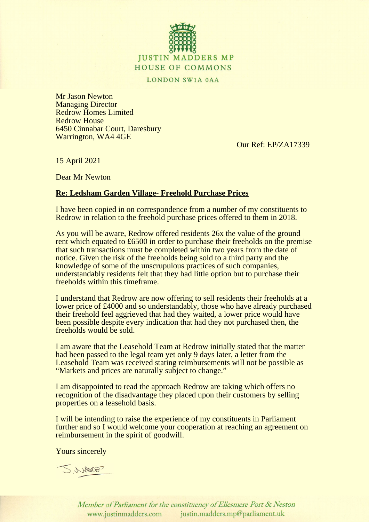

LONDON SW1A 0AA

Mr Jason Newton Managing Director Redrow Homes Limited Redrow House 6450 Cinnabar Court, Daresbury Warrington, WA4 4GE

Our Ref: EP/ZA17339

15 April 2021

Dear Mr Newton

## **Re: Ledsham Garden Village- Freehold Purchase Prices**

I have been copied in on correspondence from a number of my constituents to Redrow in relation to the freehold purchase prices offered to them in 2018.

As you will be aware, Redrow offered residents 26x the value of the ground rent which equated to £6500 in order to purchase their freeholds on the premise that such transactions must be completed within two years from the date of notice. Given the risk of the freeholds being sold to a third party and the knowledge of some of the unscrupulous practices of such companies, understandably residents felt that they had little option but to purchase their freeholds within this timeframe.

I understand that Redrow are now offering to sell residents their freeholds at a lower price of £4000 and so understandably, those who have already purchased their freehold feel aggrieved that had they waited, a lower price would have been possible despite every indication that had they not purchased then, the freeholds would be sold.

I am aware that the Leasehold Team at Redrow initially stated that the matter had been passed to the legal team yet only 9 days later, a letter from the Leasehold Team was received stating reimbursements will not be possible as "Markets and prices are naturally subject to change."

I am disappointed to read the approach Redrow are taking which offers no recognition of the disadvantage they placed upon their customers by selling properties on a leasehold basis.

I will be intending to raise the experience of my constituents in Parliament further and so I would welcome your cooperation at reaching an agreement on reimbursement in the spirit of goodwill.

Yours sincerely

SWAMP

Member of Parliament for the constituency of Ellesmere Port & Neston www.justinmadders.com justin.madders.mp@parliament.uk